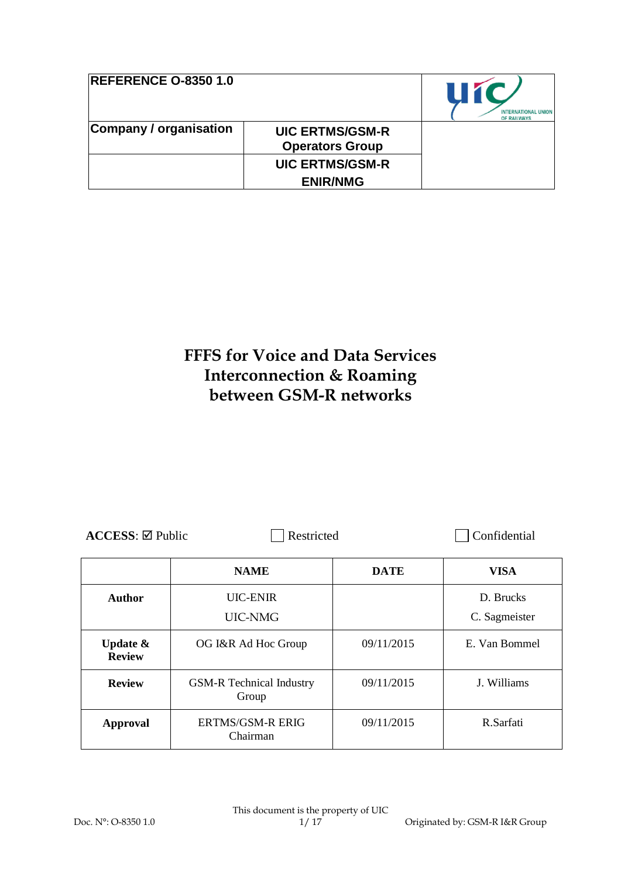| <b>REFERENCE O-8350 1.0</b> |                                                  | <b>U1</b><br><b>INTERNATIONAL UNION</b><br>OF RAILWAYS |
|-----------------------------|--------------------------------------------------|--------------------------------------------------------|
| Company / organisation      | <b>UIC ERTMS/GSM-R</b><br><b>Operators Group</b> |                                                        |
|                             | <b>UIC ERTMS/GSM-R</b>                           |                                                        |
|                             | <b>ENIR/NMG</b>                                  |                                                        |

# **FFFS for Voice and Data Services Interconnection & Roaming between GSM-R networks**

| $\text{ACCESS}$ : $\boxtimes$ Public |
|--------------------------------------|
|--------------------------------------|

**ACCESSIBLE Restricted Confidential** 

|                                      | <b>NAME</b>                              | <b>DATE</b> | <b>VISA</b>                |
|--------------------------------------|------------------------------------------|-------------|----------------------------|
| <b>Author</b>                        | <b>UIC-ENIR</b><br>UIC-NMG               |             | D. Brucks<br>C. Sagmeister |
| <b>Update &amp;</b><br><b>Review</b> | OG I&R Ad Hoc Group                      | 09/11/2015  | E. Van Bommel              |
| <b>Review</b>                        | <b>GSM-R</b> Technical Industry<br>Group | 09/11/2015  | J. Williams                |
| <b>Approval</b>                      | ERTMS/GSM-R ERIG<br>Chairman             | 09/11/2015  | R.Sarfati                  |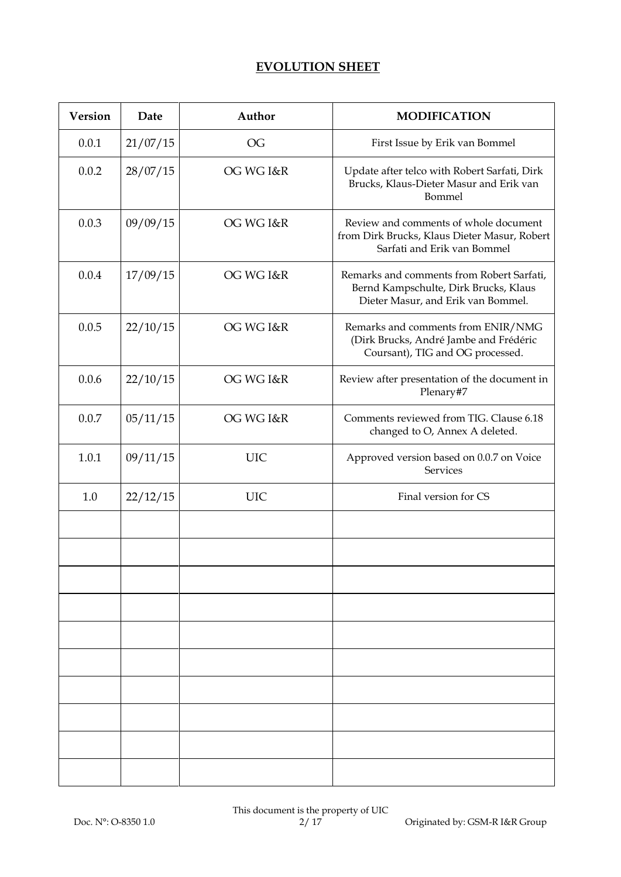# **EVOLUTION SHEET**

| <b>Version</b> | Date     | Author                 | <b>MODIFICATION</b>                                                                                                      |
|----------------|----------|------------------------|--------------------------------------------------------------------------------------------------------------------------|
| 0.0.1          | 21/07/15 | $\overline{\text{OG}}$ | First Issue by Erik van Bommel                                                                                           |
| 0.0.2          | 28/07/15 | OG WG I&R              | Update after telco with Robert Sarfati, Dirk<br>Brucks, Klaus-Dieter Masur and Erik van<br>Bommel                        |
| 0.0.3          | 09/09/15 | OG WG I&R              | Review and comments of whole document<br>from Dirk Brucks, Klaus Dieter Masur, Robert<br>Sarfati and Erik van Bommel     |
| 0.0.4          | 17/09/15 | OG WG I&R              | Remarks and comments from Robert Sarfati,<br>Bernd Kampschulte, Dirk Brucks, Klaus<br>Dieter Masur, and Erik van Bommel. |
| 0.0.5          | 22/10/15 | OG WG I&R              | Remarks and comments from ENIR/NMG<br>(Dirk Brucks, André Jambe and Frédéric<br>Coursant), TIG and OG processed.         |
| 0.0.6          | 22/10/15 | OG WG I&R              | Review after presentation of the document in<br>Plenary#7                                                                |
| 0.0.7          | 05/11/15 | OG WG I&R              | Comments reviewed from TIG. Clause 6.18<br>changed to O, Annex A deleted.                                                |
| 1.0.1          | 09/11/15 | <b>UIC</b>             | Approved version based on 0.0.7 on Voice<br>Services                                                                     |
| 1.0            | 22/12/15 | <b>UIC</b>             | Final version for CS                                                                                                     |
|                |          |                        |                                                                                                                          |
|                |          |                        |                                                                                                                          |
|                |          |                        |                                                                                                                          |
|                |          |                        |                                                                                                                          |
|                |          |                        |                                                                                                                          |
|                |          |                        |                                                                                                                          |
|                |          |                        |                                                                                                                          |
|                |          |                        |                                                                                                                          |
|                |          |                        |                                                                                                                          |
|                |          |                        |                                                                                                                          |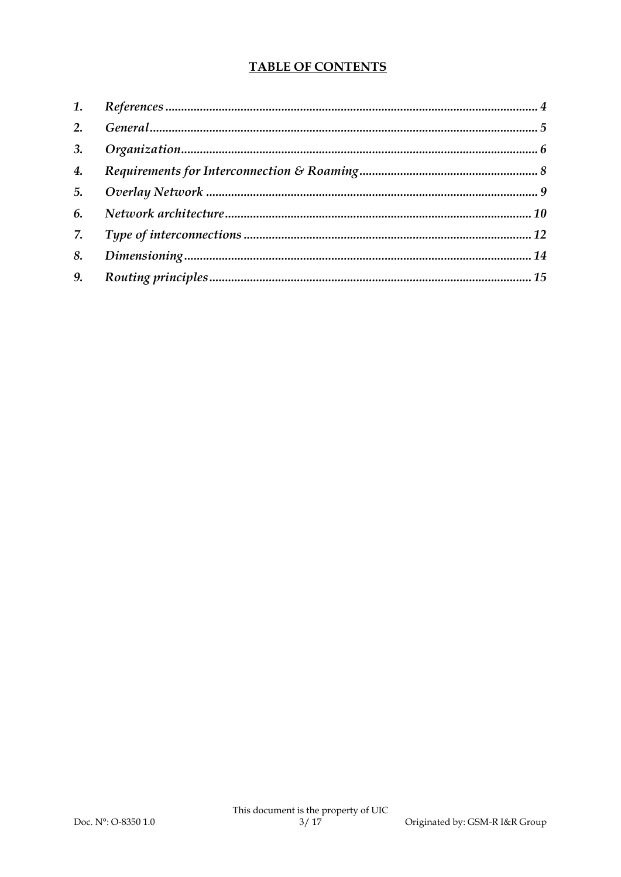# **TABLE OF CONTENTS**

| 2. |  |
|----|--|
| 3. |  |
| 4. |  |
| 5. |  |
| 6. |  |
| 7. |  |
| 8. |  |
| 9. |  |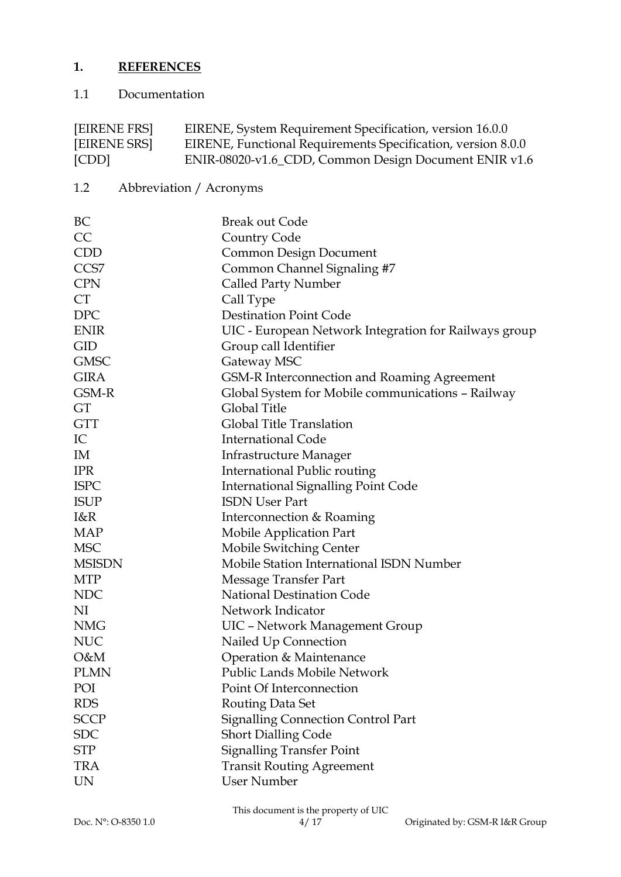# **1. REFERENCES**

# 1.1 Documentation

| [EIRENE FRS] | EIRENE, System Requirement Specification, version 16.0.0     |
|--------------|--------------------------------------------------------------|
| [EIRENE SRS] | EIRENE, Functional Requirements Specification, version 8.0.0 |
| [CDD]        | ENIR-08020-v1.6_CDD, Common Design Document ENIR v1.6        |

1.2 Abbreviation / Acronyms

| BC               | <b>Break out Code</b>                                 |
|------------------|-------------------------------------------------------|
| CC               | Country Code                                          |
| <b>CDD</b>       | <b>Common Design Document</b>                         |
| CCS <sub>7</sub> | Common Channel Signaling #7                           |
| <b>CPN</b>       | Called Party Number                                   |
| CT               | Call Type                                             |
| <b>DPC</b>       | <b>Destination Point Code</b>                         |
| <b>ENIR</b>      | UIC - European Network Integration for Railways group |
| <b>GID</b>       | Group call Identifier                                 |
| <b>GMSC</b>      | Gateway MSC                                           |
| <b>GIRA</b>      | GSM-R Interconnection and Roaming Agreement           |
| GSM-R            | Global System for Mobile communications - Railway     |
| GT               | Global Title                                          |
| <b>GTT</b>       | Global Title Translation                              |
| IC               | <b>International Code</b>                             |
| IM               | Infrastructure Manager                                |
| <b>IPR</b>       | International Public routing                          |
| <b>ISPC</b>      | <b>International Signalling Point Code</b>            |
| <b>ISUP</b>      | <b>ISDN User Part</b>                                 |
| I&R              | Interconnection & Roaming                             |
| MAP              | Mobile Application Part                               |
| <b>MSC</b>       | Mobile Switching Center                               |
| <b>MSISDN</b>    | Mobile Station International ISDN Number              |
| <b>MTP</b>       | Message Transfer Part                                 |
| <b>NDC</b>       | National Destination Code                             |
| NI               | Network Indicator                                     |
| <b>NMG</b>       | UIC - Network Management Group                        |
| <b>NUC</b>       | Nailed Up Connection                                  |
| O&M              | Operation & Maintenance                               |
| <b>PLMN</b>      | Public Lands Mobile Network                           |
| POI              | Point Of Interconnection                              |
| <b>RDS</b>       | Routing Data Set                                      |
| <b>SCCP</b>      | <b>Signalling Connection Control Part</b>             |
| <b>SDC</b>       | <b>Short Dialling Code</b>                            |
| <b>STP</b>       | <b>Signalling Transfer Point</b>                      |
| <b>TRA</b>       | <b>Transit Routing Agreement</b>                      |
| <b>UN</b>        | User Number                                           |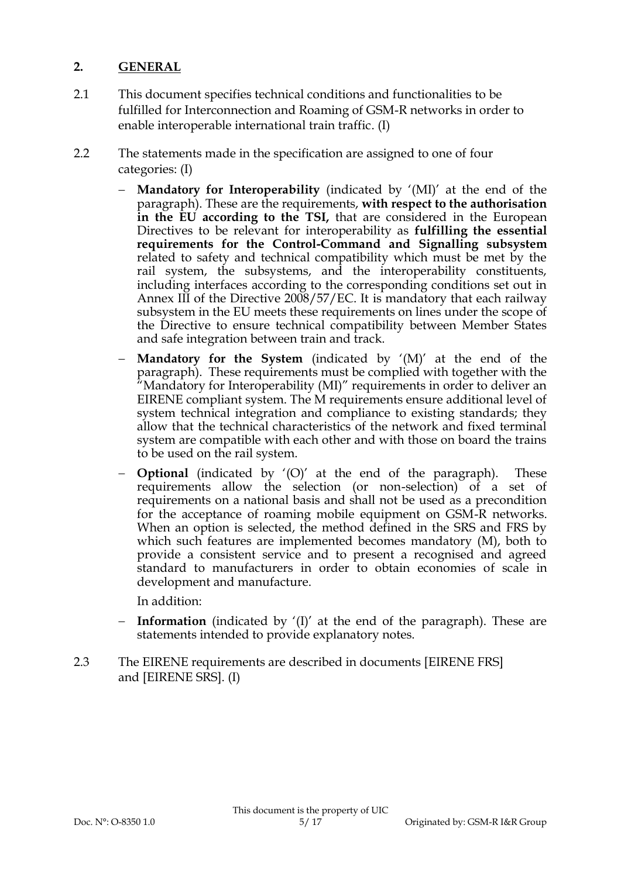#### **2. GENERAL**

- 2.1 This document specifies technical conditions and functionalities to be fulfilled for Interconnection and Roaming of GSM-R networks in order to enable interoperable international train traffic. (I)
- 2.2 The statements made in the specification are assigned to one of four categories: (I)
	- **Mandatory for Interoperability** (indicated by '(MI)' at the end of the paragraph). These are the requirements, **with respect to the authorisation in the EU according to the TSI,** that are considered in the European Directives to be relevant for interoperability as **fulfilling the essential requirements for the Control-Command and Signalling subsystem** related to safety and technical compatibility which must be met by the rail system, the subsystems, and the interoperability constituents, including interfaces according to the corresponding conditions set out in Annex III of the Directive 2008/57/EC. It is mandatory that each railway subsystem in the EU meets these requirements on lines under the scope of the Directive to ensure technical compatibility between Member States and safe integration between train and track.
	- **Mandatory for the System** (indicated by '(M)' at the end of the paragraph). These requirements must be complied with together with the "Mandatory for Interoperability (MI)" requirements in order to deliver an EIRENE compliant system. The M requirements ensure additional level of system technical integration and compliance to existing standards; they allow that the technical characteristics of the network and fixed terminal system are compatible with each other and with those on board the trains to be used on the rail system.
	- **Optional** (indicated by '(O)' at the end of the paragraph). These requirements allow the selection (or non-selection) of a set of requirements on a national basis and shall not be used as a precondition for the acceptance of roaming mobile equipment on GSM-R networks. When an option is selected, the method defined in the SRS and FRS by which such features are implemented becomes mandatory (M), both to provide a consistent service and to present a recognised and agreed standard to manufacturers in order to obtain economies of scale in development and manufacture.

In addition:

- **Information** (indicated by '(I)' at the end of the paragraph). These are statements intended to provide explanatory notes.
- 2.3 The EIRENE requirements are described in documents [EIRENE FRS] and [EIRENE SRS]. (I)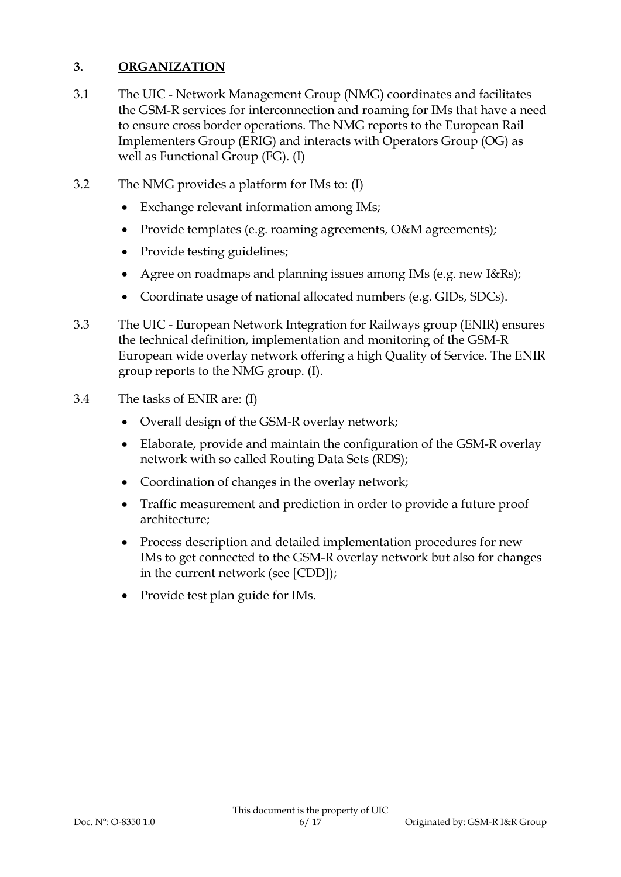## **3. ORGANIZATION**

- 3.1 The UIC Network Management Group (NMG) coordinates and facilitates the GSM-R services for interconnection and roaming for IMs that have a need to ensure cross border operations. The NMG reports to the European Rail Implementers Group (ERIG) and interacts with Operators Group (OG) as well as Functional Group (FG). (I)
- 3.2 The NMG provides a platform for IMs to: (I)
	- Exchange relevant information among IMs;
	- Provide templates (e.g. roaming agreements, O&M agreements);
	- Provide testing guidelines;
	- Agree on roadmaps and planning issues among IMs (e.g. new I&Rs);
	- Coordinate usage of national allocated numbers (e.g. GIDs, SDCs).
- 3.3 The UIC European Network Integration for Railways group (ENIR) ensures the technical definition, implementation and monitoring of the GSM-R European wide overlay network offering a high Quality of Service. The ENIR group reports to the NMG group. (I).
- 3.4 The tasks of ENIR are: (I)
	- Overall design of the GSM-R overlay network;
	- Elaborate, provide and maintain the configuration of the GSM-R overlay network with so called Routing Data Sets (RDS);
	- Coordination of changes in the overlay network;
	- Traffic measurement and prediction in order to provide a future proof architecture;
	- Process description and detailed implementation procedures for new IMs to get connected to the GSM-R overlay network but also for changes in the current network (see [CDD]);
	- Provide test plan guide for IMs.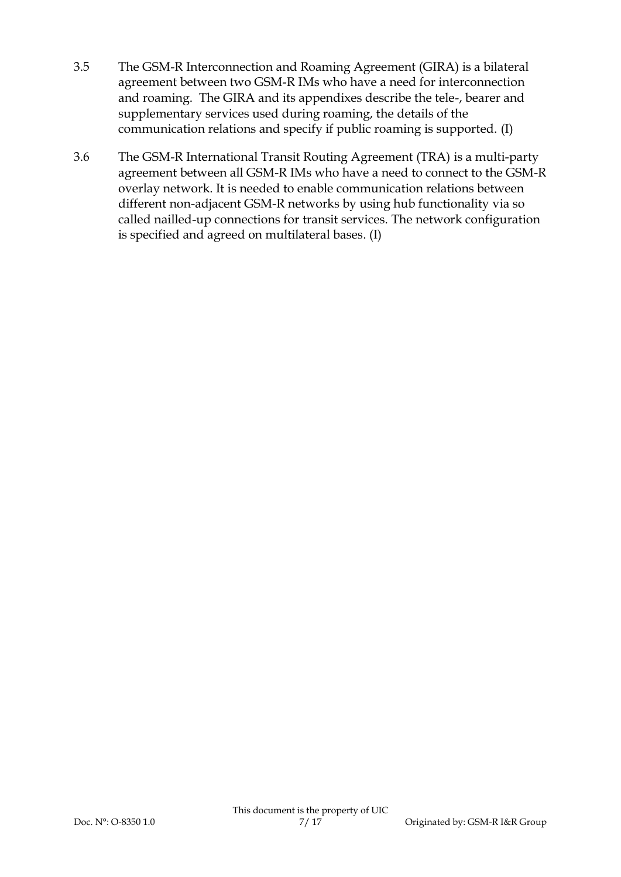- 3.5 The GSM-R Interconnection and Roaming Agreement (GIRA) is a bilateral agreement between two GSM-R IMs who have a need for interconnection and roaming. The GIRA and its appendixes describe the tele-, bearer and supplementary services used during roaming, the details of the communication relations and specify if public roaming is supported. (I)
- 3.6 The GSM-R International Transit Routing Agreement (TRA) is a multi-party agreement between all GSM-R IMs who have a need to connect to the GSM-R overlay network. It is needed to enable communication relations between different non-adjacent GSM-R networks by using hub functionality via so called nailled-up connections for transit services. The network configuration is specified and agreed on multilateral bases. (I)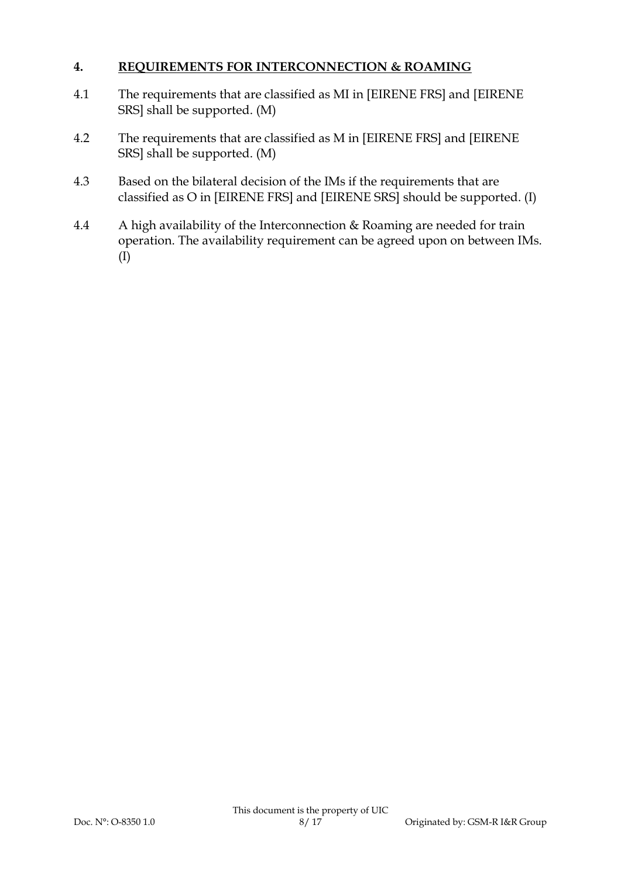## **4. REQUIREMENTS FOR INTERCONNECTION & ROAMING**

- 4.1 The requirements that are classified as MI in [EIRENE FRS] and [EIRENE SRS] shall be supported. (M)
- 4.2 The requirements that are classified as M in [EIRENE FRS] and [EIRENE SRS] shall be supported. (M)
- 4.3 Based on the bilateral decision of the IMs if the requirements that are classified as O in [EIRENE FRS] and [EIRENE SRS] should be supported. (I)
- 4.4 A high availability of the Interconnection & Roaming are needed for train operation. The availability requirement can be agreed upon on between IMs. (I)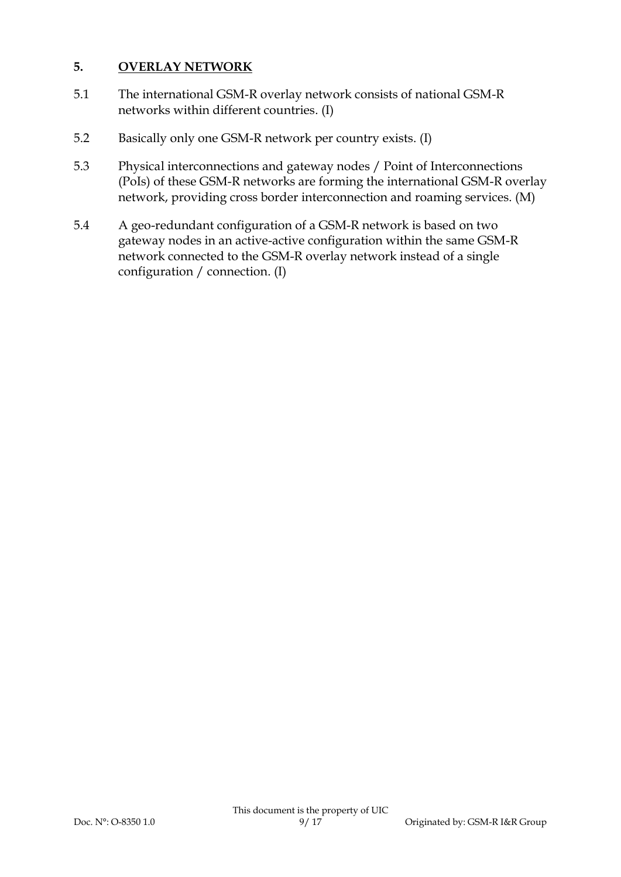## **5. OVERLAY NETWORK**

- 5.1 The international GSM-R overlay network consists of national GSM-R networks within different countries. (I)
- 5.2 Basically only one GSM-R network per country exists. (I)
- 5.3 Physical interconnections and gateway nodes / Point of Interconnections (PoIs) of these GSM-R networks are forming the international GSM-R overlay network, providing cross border interconnection and roaming services. (M)
- 5.4 A geo-redundant configuration of a GSM-R network is based on two gateway nodes in an active-active configuration within the same GSM-R network connected to the GSM-R overlay network instead of a single configuration / connection. (I)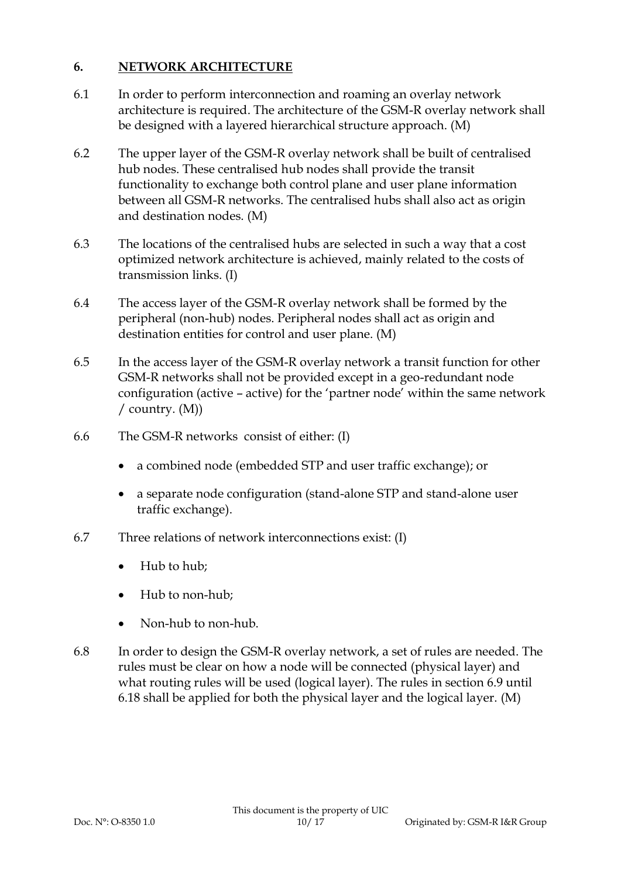## **6. NETWORK ARCHITECTURE**

- 6.1 In order to perform interconnection and roaming an overlay network architecture is required. The architecture of the GSM-R overlay network shall be designed with a layered hierarchical structure approach. (M)
- 6.2 The upper layer of the GSM-R overlay network shall be built of centralised hub nodes. These centralised hub nodes shall provide the transit functionality to exchange both control plane and user plane information between all GSM-R networks. The centralised hubs shall also act as origin and destination nodes. (M)
- 6.3 The locations of the centralised hubs are selected in such a way that a cost optimized network architecture is achieved, mainly related to the costs of transmission links. (I)
- 6.4 The access layer of the GSM-R overlay network shall be formed by the peripheral (non-hub) nodes. Peripheral nodes shall act as origin and destination entities for control and user plane. (M)
- 6.5 In the access layer of the GSM-R overlay network a transit function for other GSM-R networks shall not be provided except in a geo-redundant node configuration (active – active) for the 'partner node' within the same network / country. (M))
- 6.6 The GSM-R networks consist of either: (I)
	- a combined node (embedded STP and user traffic exchange); or
	- a separate node configuration (stand-alone STP and stand-alone user traffic exchange).
- 6.7 Three relations of network interconnections exist: (I)
	- Hub to hub;
	- Hub to non-hub;
	- Non-hub to non-hub.
- 6.8 In order to design the GSM-R overlay network, a set of rules are needed. The rules must be clear on how a node will be connected (physical layer) and what routing rules will be used (logical layer). The rules in section [6.9](#page-10-0) until [6.18](#page-10-1) shall be applied for both the physical layer and the logical layer. (M)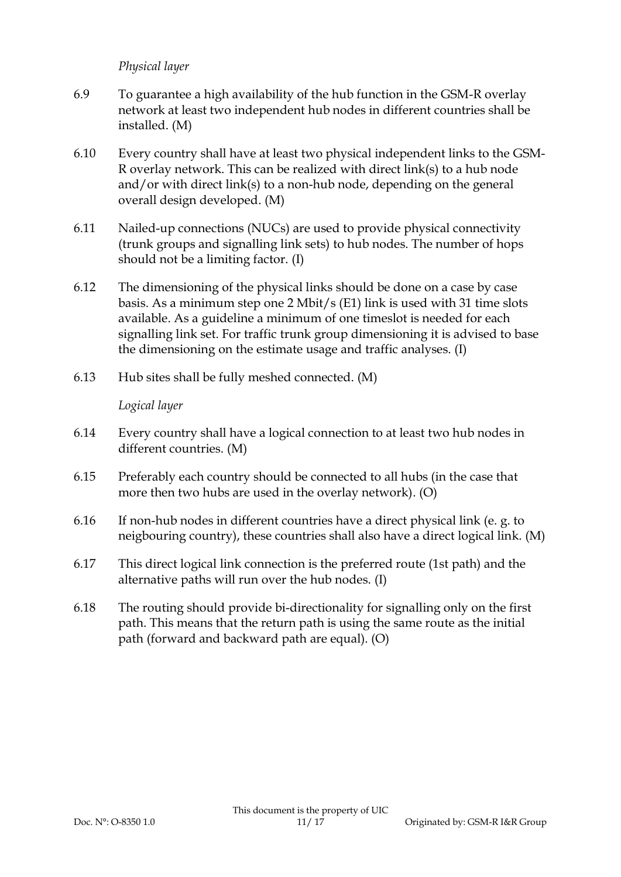#### *Physical layer*

- <span id="page-10-0"></span>6.9 To guarantee a high availability of the hub function in the GSM-R overlay network at least two independent hub nodes in different countries shall be installed. (M)
- 6.10 Every country shall have at least two physical independent links to the GSM-R overlay network. This can be realized with direct link(s) to a hub node and/or with direct link(s) to a non-hub node, depending on the general overall design developed. (M)
- 6.11 Nailed-up connections (NUCs) are used to provide physical connectivity (trunk groups and signalling link sets) to hub nodes. The number of hops should not be a limiting factor. (I)
- 6.12 The dimensioning of the physical links should be done on a case by case basis. As a minimum step one 2 Mbit/s (E1) link is used with 31 time slots available. As a guideline a minimum of one timeslot is needed for each signalling link set. For traffic trunk group dimensioning it is advised to base the dimensioning on the estimate usage and traffic analyses. (I)
- 6.13 Hub sites shall be fully meshed connected. (M)

#### *Logical layer*

- 6.14 Every country shall have a logical connection to at least two hub nodes in different countries. (M)
- 6.15 Preferably each country should be connected to all hubs (in the case that more then two hubs are used in the overlay network). (O)
- 6.16 If non-hub nodes in different countries have a direct physical link (e. g. to neigbouring country), these countries shall also have a direct logical link. (M)
- 6.17 This direct logical link connection is the preferred route (1st path) and the alternative paths will run over the hub nodes. (I)
- <span id="page-10-1"></span>6.18 The routing should provide bi-directionality for signalling only on the first path. This means that the return path is using the same route as the initial path (forward and backward path are equal). (O)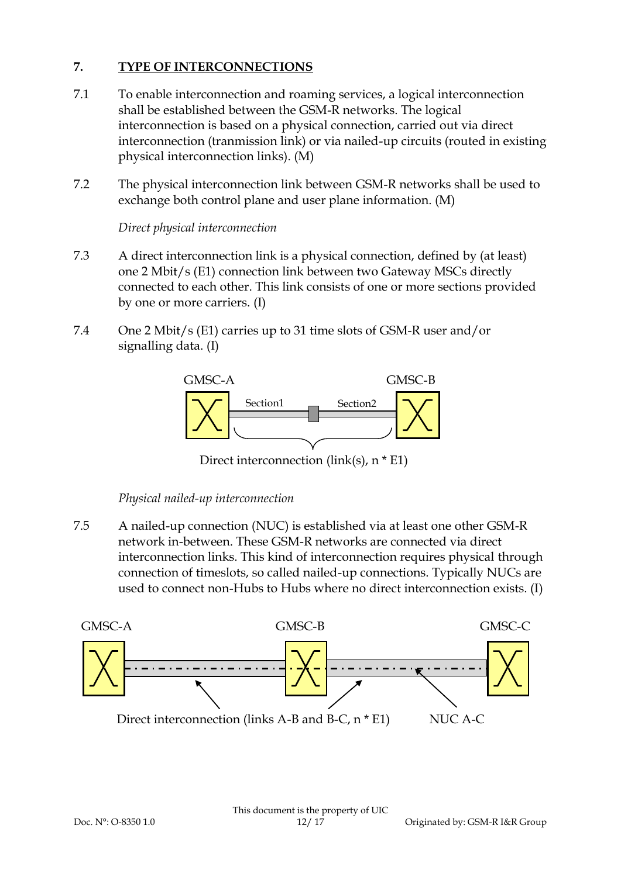## **7. TYPE OF INTERCONNECTIONS**

- 7.1 To enable interconnection and roaming services, a logical interconnection shall be established between the GSM-R networks. The logical interconnection is based on a physical connection, carried out via direct interconnection (tranmission link) or via nailed-up circuits (routed in existing physical interconnection links). (M)
- 7.2 The physical interconnection link between GSM-R networks shall be used to exchange both control plane and user plane information. (M)

*Direct physical interconnection*

- 7.3 A direct interconnection link is a physical connection, defined by (at least) one 2 Mbit/s (E1) connection link between two Gateway MSCs directly connected to each other. This link consists of one or more sections provided by one or more carriers. (I)
- 7.4 One 2 Mbit/s (E1) carries up to 31 time slots of GSM-R user and/or signalling data. (I)



Direct interconnection (link(s), n \* E1)

#### *Physical nailed-up interconnection*

7.5 A nailed-up connection (NUC) is established via at least one other GSM-R network in-between. These GSM-R networks are connected via direct interconnection links. This kind of interconnection requires physical through connection of timeslots, so called nailed-up connections. Typically NUCs are used to connect non-Hubs to Hubs where no direct interconnection exists. (I)

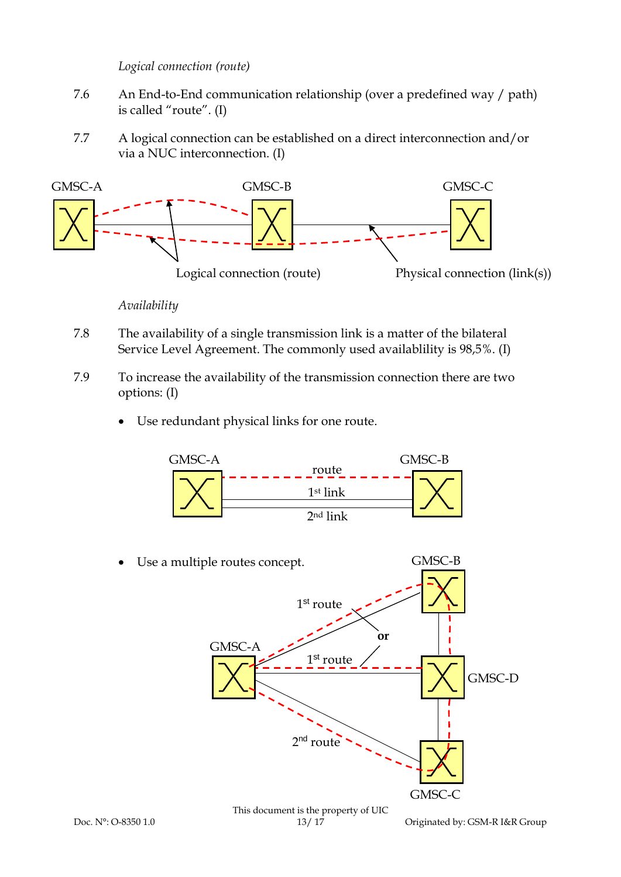*Logical connection (route)*

- 7.6 An End-to-End communication relationship (over a predefined way / path) is called "route". (I)
- 7.7 A logical connection can be established on a direct interconnection and/or via a NUC interconnection. (I)



*Availability*

- 7.8 The availability of a single transmission link is a matter of the bilateral Service Level Agreement. The commonly used availablility is 98,5%. (I)
- 7.9 To increase the availability of the transmission connection there are two options: (I)
	- Use redundant physical links for one route.

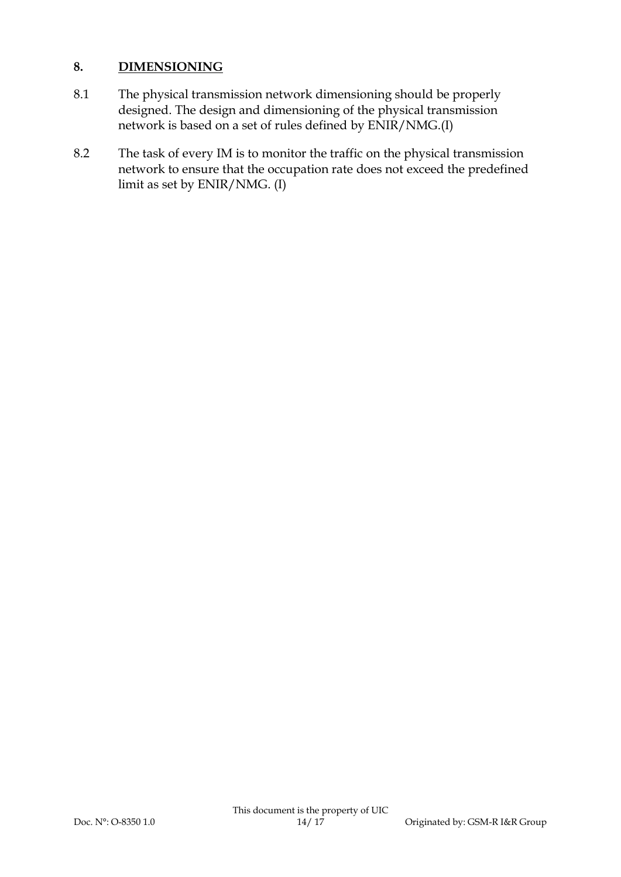## **8. DIMENSIONING**

- 8.1 The physical transmission network dimensioning should be properly designed. The design and dimensioning of the physical transmission network is based on a set of rules defined by ENIR/NMG.(I)
- 8.2 The task of every IM is to monitor the traffic on the physical transmission network to ensure that the occupation rate does not exceed the predefined limit as set by ENIR/NMG. (I)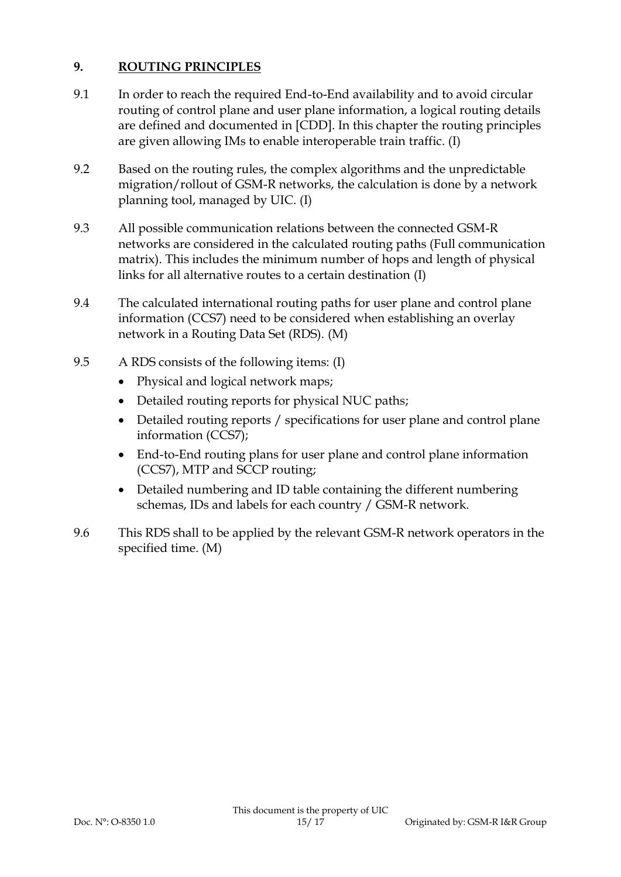# **9. ROUTING PRINCIPLES**

- 9.1 In order to reach the required End-to-End availability and to avoid circular routing of control plane and user plane information, a logical routing details are defined and documented in [CDD]. In this chapter the routing principles are given allowing IMs to enable interoperable train traffic. (I)
- 9.2 Based on the routing rules, the complex algorithms and the unpredictable migration/rollout of GSM-R networks, the calculation is done by a network planning tool, managed by UIC. (I)
- 9.3 All possible communication relations between the connected GSM-R networks are considered in the calculated routing paths (Full communication matrix). This includes the minimum number of hops and length of physical links for all alternative routes to a certain destination (I)
- 9.4 The calculated international routing paths for user plane and control plane information (CCS7) need to be considered when establishing an overlay network in a Routing Data Set (RDS). (M)
- 9.5 A RDS consists of the following items: (I)
	- Physical and logical network maps;
	- Detailed routing reports for physical NUC paths;
	- Detailed routing reports / specifications for user plane and control plane information (CCS7);
	- End-to-End routing plans for user plane and control plane information (CCS7), MTP and SCCP routing;
	- Detailed numbering and ID table containing the different numbering schemas, IDs and labels for each country / GSM-R network.
- 9.6 This RDS shall to be applied by the relevant GSM-R network operators in the specified time. (M)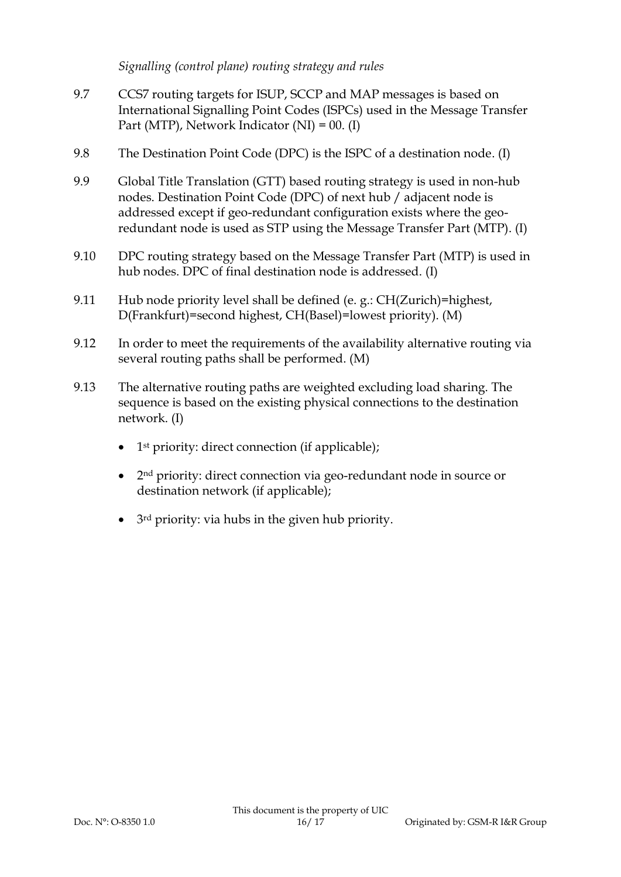#### *Signalling (control plane) routing strategy and rules*

- 9.7 CCS7 routing targets for ISUP, SCCP and MAP messages is based on International Signalling Point Codes (ISPCs) used in the Message Transfer Part (MTP), Network Indicator (NI) = 00. (I)
- 9.8 The Destination Point Code (DPC) is the ISPC of a destination node. (I)
- 9.9 Global Title Translation (GTT) based routing strategy is used in non-hub nodes. Destination Point Code (DPC) of next hub / adjacent node is addressed except if geo-redundant configuration exists where the georedundant node is used as STP using the Message Transfer Part (MTP). (I)
- 9.10 DPC routing strategy based on the Message Transfer Part (MTP) is used in hub nodes. DPC of final destination node is addressed. (I)
- 9.11 Hub node priority level shall be defined (e. g.: CH(Zurich)=highest, D(Frankfurt)=second highest, CH(Basel)=lowest priority). (M)
- 9.12 In order to meet the requirements of the availability alternative routing via several routing paths shall be performed. (M)
- 9.13 The alternative routing paths are weighted excluding load sharing. The sequence is based on the existing physical connections to the destination network. (I)
	- 1<sup>st</sup> priority: direct connection (if applicable);
	- 2<sup>nd</sup> priority: direct connection via geo-redundant node in source or destination network (if applicable);
	- 3rd priority: via hubs in the given hub priority.